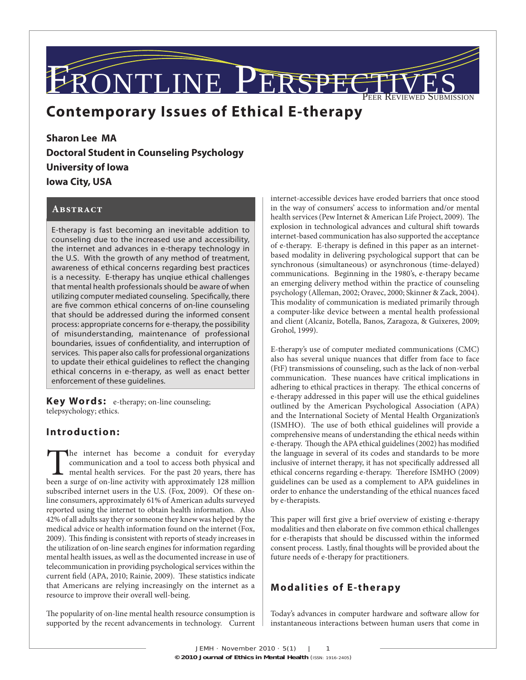# MTLINE PER PEER REVIEWED SUBMISSION

# **Contemporary Issues of Ethical E-therapy**

**Sharon Lee MA Doctoral Student in Counseling Psychology University of Iowa Iowa City, USA**

#### **Abstract**

E-therapy is fast becoming an inevitable addition to counseling due to the increased use and accessibility, the internet and advances in e-therapy technology in the U.S. With the growth of any method of treatment, awareness of ethical concerns regarding best practices is a necessity. E-therapy has unqiue ethical challenges that mental health professionals should be aware of when utilizing computer mediated counseling. Specifically, there are five common ethical concerns of on-line counseling that should be addressed during the informed consent process: appropriate concerns for e-therapy, the possibility of misunderstanding, maintenance of professional boundaries, issues of confidentiality, and interruption of services. This paper also calls for professional organizations to update their ethical guidelines to reflect the changing ethical concerns in e-therapy, as well as enact better enforcement of these guidelines.

**Key Words:** e-therapy; on-line counseling; telepsychology; ethics.

### **Introduction:**

The internet has become a conduit for everyday communication and a tool to access both physical and mental health services. For the past 20 years, there has been a surge of on-line activity with approximately 128 million communication and a tool to access both physical and mental health services. For the past 20 years, there has been a surge of on-line activity with approximately 128 million subscribed internet users in the U.S. (Fox, 2009). Of these online consumers, approximately 61% of American adults surveyed reported using the internet to obtain health information. Also 42% of all adults say they or someone they knew was helped by the medical advice or health information found on the internet (Fox, 2009). This finding is consistent with reports of steady increases in the utilization of on-line search engines for information regarding mental health issues, as well as the documented increase in use of telecommunication in providing psychological services within the current field (APA, 2010; Rainie, 2009). These statistics indicate that Americans are relying increasingly on the internet as a resource to improve their overall well-being.

The popularity of on-line mental health resource consumption is supported by the recent advancements in technology. Current internet-accessible devices have eroded barriers that once stood in the way of consumers' access to information and/or mental health services (Pew Internet & American Life Project, 2009). The explosion in technological advances and cultural shift towards internet-based communication has also supported the acceptance of e-therapy. E-therapy is defined in this paper as an internetbased modality in delivering psychological support that can be synchronous (simultaneous) or asynchronous (time-delayed) communications. Beginning in the 1980's, e-therapy became an emerging delivery method within the practice of counseling psychology (Alleman, 2002; Oravec, 2000; Skinner & Zack, 2004). This modality of communication is mediated primarily through a computer-like device between a mental health professional and client (Alcaniz, Botella, Banos, Zaragoza, & Guixeres, 2009; Grohol, 1999).

E-therapy's use of computer mediated communications (CMC) also has several unique nuances that differ from face to face (FtF) transmissions of counseling, such as the lack of non-verbal communication. These nuances have critical implications in adhering to ethical practices in therapy. The ethical concerns of e-therapy addressed in this paper will use the ethical guidelines outlined by the American Psychological Association (APA) and the International Society of Mental Health Organization's (ISMHO). The use of both ethical guidelines will provide a comprehensive means of understanding the ethical needs within e-therapy. Though the APA ethical guidelines (2002) has modified the language in several of its codes and standards to be more inclusive of internet therapy, it has not specifically addressed all ethical concerns regarding e-therapy. Therefore ISMHO (2009) guidelines can be used as a complement to APA guidelines in order to enhance the understanding of the ethical nuances faced by e-therapists.

This paper will first give a brief overview of existing e-therapy modalities and then elaborate on five common ethical challenges for e-therapists that should be discussed within the informed consent process. Lastly, final thoughts will be provided about the future needs of e-therapy for practitioners.

### **Modalities of E-therapy**

Today's advances in computer hardware and software allow for instantaneous interactions between human users that come in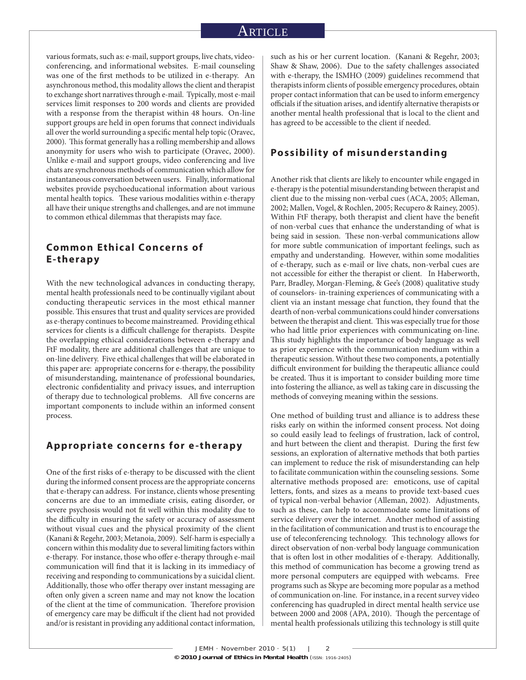various formats, such as: e-mail, support groups, live chats, videoconferencing, and informational websites. E-mail counseling was one of the first methods to be utilized in e-therapy. An asynchronous method, this modality allows the client and therapist to exchange short narratives through e-mail. Typically, most e-mail services limit responses to 200 words and clients are provided with a response from the therapist within 48 hours. On-line support groups are held in open forums that connect individuals all over the world surrounding a specific mental help topic (Oravec, 2000). This format generally has a rolling membership and allows anonymity for users who wish to participate (Oravec, 2000). Unlike e-mail and support groups, video conferencing and live chats are synchronous methods of communication which allow for instantaneous conversation between users. Finally, informational websites provide psychoeducational information about various mental health topics. These various modalities within e-therapy all have their unique strengths and challenges, and are not immune to common ethical dilemmas that therapists may face.

# **Common Ethical Concerns of E-therapy**

With the new technological advances in conducting therapy, mental health professionals need to be continually vigilant about conducting therapeutic services in the most ethical manner possible. This ensures that trust and quality services are provided as e-therapy continues to become mainstreamed. Providing ethical services for clients is a difficult challenge for therapists. Despite the overlapping ethical considerations between e-therapy and FtF modality, there are additional challenges that are unique to on-line delivery. Five ethical challenges that will be elaborated in this paper are: appropriate concerns for e-therapy, the possibility of misunderstanding, maintenance of professional boundaries, electronic confidentiality and privacy issues, and interruption of therapy due to technological problems. All five concerns are important components to include within an informed consent process.

#### **Appropriate concerns for e-therapy**

One of the first risks of e-therapy to be discussed with the client during the informed consent process are the appropriate concerns that e-therapy can address. For instance, clients whose presenting concerns are due to an immediate crisis, eating disorder, or severe psychosis would not fit well within this modality due to the difficulty in ensuring the safety or accuracy of assessment without visual cues and the physical proximity of the client (Kanani & Regehr, 2003; Metanoia, 2009). Self-harm is especially a concern within this modality due to several limiting factors within e-therapy. For instance, those who offer e-therapy through e-mail communication will find that it is lacking in its immediacy of receiving and responding to communications by a suicidal client. Additionally, those who offer therapy over instant messaging are often only given a screen name and may not know the location of the client at the time of communication. Therefore provision of emergency care may be difficult if the client had not provided and/or is resistant in providing any additional contact information,

such as his or her current location. (Kanani & Regehr, 2003; Shaw & Shaw, 2006). Due to the safety challenges associated with e-therapy, the ISMHO (2009) guidelines recommend that therapists inform clients of possible emergency procedures, obtain proper contact information that can be used to inform emergency officials if the situation arises, and identify alternative therapists or another mental health professional that is local to the client and has agreed to be accessible to the client if needed.

#### **Possibility of misunderstanding**

Another risk that clients are likely to encounter while engaged in e-therapy is the potential misunderstanding between therapist and client due to the missing non-verbal cues (ACA, 2005; Alleman, 2002; Mallen, Vogel, & Rochlen, 2005; Recupero & Rainey, 2005). Within FtF therapy, both therapist and client have the benefit of non-verbal cues that enhance the understanding of what is being said in session. These non-verbal communications allow for more subtle communication of important feelings, such as empathy and understanding. However, within some modalities of e-therapy, such as e-mail or live chats, non-verbal cues are not accessible for either the therapist or client. In Haberworth, Parr, Bradley, Morgan-Fleming, & Gee's (2008) qualitative study of counselors- in-training experiences of communicating with a client via an instant message chat function, they found that the dearth of non-verbal communications could hinder conversations between the therapist and client. This was especially true for those who had little prior experiences with communicating on-line. This study highlights the importance of body language as well as prior experience with the communication medium within a therapeutic session. Without these two components, a potentially difficult environment for building the therapeutic alliance could be created. Thus it is important to consider building more time into fostering the alliance, as well as taking care in discussing the methods of conveying meaning within the sessions.

One method of building trust and alliance is to address these risks early on within the informed consent process. Not doing so could easily lead to feelings of frustration, lack of control, and hurt between the client and therapist. During the first few sessions, an exploration of alternative methods that both parties can implement to reduce the risk of misunderstanding can help to facilitate communication within the counseling sessions. Some alternative methods proposed are: emoticons, use of capital letters, fonts, and sizes as a means to provide text-based cues of typical non-verbal behavior (Alleman, 2002). Adjustments, such as these, can help to accommodate some limitations of service delivery over the internet. Another method of assisting in the facilitation of communication and trust is to encourage the use of teleconferencing technology. This technology allows for direct observation of non-verbal body language communication that is often lost in other modalities of e-therapy. Additionally, this method of communication has become a growing trend as more personal computers are equipped with webcams. Free programs such as Skype are becoming more popular as a method of communication on-line. For instance, in a recent survey video conferencing has quadrupled in direct mental health service use between 2000 and 2008 (APA, 2010). Though the percentage of mental health professionals utilizing this technology is still quite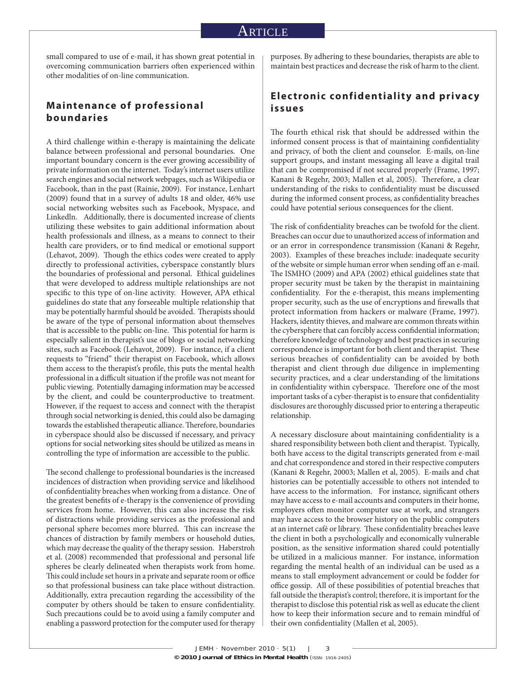small compared to use of e-mail, it has shown great potential in overcoming communication barriers often experienced within other modalities of on-line communication.

# **Maintenance of professional boundaries**

A third challenge within e-therapy is maintaining the delicate balance between professional and personal boundaries. One important boundary concern is the ever growing accessibility of private information on the internet. Today's internet users utilize search engines and social network webpages, such as Wikipedia or Facebook, than in the past (Rainie, 2009). For instance, Lenhart (2009) found that in a survey of adults 18 and older, 46% use social networking websites such as Facebook, Myspace, and Linkedln. Additionally, there is documented increase of clients utilizing these websites to gain additional information about health professionals and illness, as a means to connect to their health care providers, or to find medical or emotional support (Lehavot, 2009). Though the ethics codes were created to apply directly to professional activities, cyberspace constantly blurs the boundaries of professional and personal. Ethical guidelines that were developed to address multiple relationships are not specific to this type of on-line activity. However, APA ethical guidelines do state that any forseeable multiple relationship that may be potentially harmful should be avoided. Therapists should be aware of the type of personal information about themselves that is accessible to the public on-line. This potential for harm is especially salient in therapist's use of blogs or social networking sites, such as Facebook (Lehavot, 2009). For instance, if a client requests to "friend" their therapist on Facebook, which allows them access to the therapist's profile, this puts the mental health professional in a difficult situation if the profile was not meant for public viewing. Potentially damaging information may be accessed by the client, and could be counterproductive to treatment. However, if the request to access and connect with the therapist through social networking is denied, this could also be damaging towards the established therapeutic alliance. Therefore, boundaries in cyberspace should also be discussed if necessary, and privacy options for social networking sites should be utilized as means in controlling the type of information are accessible to the public.

The second challenge to professional boundaries is the increased incidences of distraction when providing service and likelihood of confidentiality breaches when working from a distance. One of the greatest benefits of e-therapy is the convenience of providing services from home. However, this can also increase the risk of distractions while providing services as the professional and personal sphere becomes more blurred. This can increase the chances of distraction by family members or household duties, which may decrease the quality of the therapy session. Haberstroh et al. (2008) recommended that professional and personal life spheres be clearly delineated when therapists work from home. This could include set hours in a private and separate room or office so that professional business can take place without distraction. Additionally, extra precaution regarding the accessibility of the computer by others should be taken to ensure confidentiality. Such precautions could be to avoid using a family computer and enabling a password protection for the computer used for therapy

purposes. By adhering to these boundaries, therapists are able to maintain best practices and decrease the risk of harm to the client.

#### **Electronic confidentiality and privacy issues**

The fourth ethical risk that should be addressed within the informed consent process is that of maintaining confidentiality and privacy, of both the client and counselor. E-mails, on-line support groups, and instant messaging all leave a digital trail that can be compromised if not secured properly (Frame, 1997; Kanani & Regehr, 2003; Mallen et al, 2005). Therefore, a clear understanding of the risks to confidentiality must be discussed during the informed consent process, as confidentiality breaches could have potential serious consequences for the client.

The risk of confidentiality breaches can be twofold for the client. Breaches can occur due to unauthorized access of information and or an error in correspondence transmission (Kanani & Regehr, 2003). Examples of these breaches include: inadequate security of the website or simple human error when sending off an e-mail. The ISMHO (2009) and APA (2002) ethical guidelines state that proper security must be taken by the therapist in maintaining confidentiality. For the e-therapist, this means implementing proper security, such as the use of encryptions and firewalls that protect information from hackers or malware (Frame, 1997). Hackers, identity thieves, and malware are common threats within the cybersphere that can forcibly access confidential information; therefore knowledge of technology and best practices in securing correspondence is important for both client and therapist. These serious breaches of confidentiality can be avoided by both therapist and client through due diligence in implementing security practices, and a clear understanding of the limitations in confidentiality within cyberspace. Therefore one of the most important tasks of a cyber-therapist is to ensure that confidentiality disclosures are thoroughly discussed prior to entering a therapeutic relationship.

A necessary disclosure about maintaining confidentiality is a shared responsibility between both client and therapist. Typically, both have access to the digital transcripts generated from e-mail and chat correspondence and stored in their respective computers (Kanani & Regehr, 20003; Mallen et al, 2005). E-mails and chat histories can be potentially accessible to others not intended to have access to the information. For instance, significant others may have access to e-mail accounts and computers in their home, employers often monitor computer use at work, and strangers may have access to the browser history on the public computers at an internet café or library. These confidentiality breaches leave the client in both a psychologically and economically vulnerable position, as the sensitive information shared could potentially be utilized in a malicious manner. For instance, information regarding the mental health of an individual can be used as a means to stall employment advancement or could be fodder for office gossip. All of these possibilities of potential breaches that fall outside the therapist's control; therefore, it is important for the therapist to disclose this potential risk as well as educate the client how to keep their information secure and to remain mindful of their own confidentiality (Mallen et al, 2005).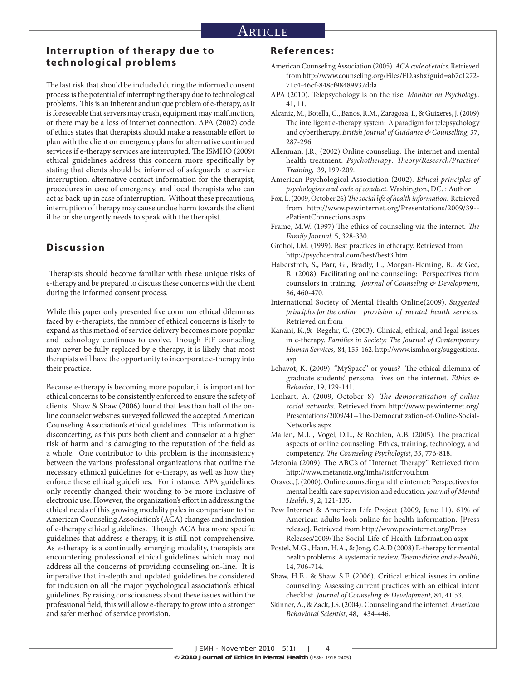### ARTICLE

#### **Interruption of therapy due to technological problems**

The last risk that should be included during the informed consent process is the potential of interrupting therapy due to technological problems. This is an inherent and unique problem of e-therapy, as it is foreseeable that servers may crash, equipment may malfunction, or there may be a loss of internet connection. APA (2002) code of ethics states that therapists should make a reasonable effort to plan with the client on emergency plans for alternative continued services if e-therapy services are interrupted. The ISMHO (2009) ethical guidelines address this concern more specifically by stating that clients should be informed of safeguards to service interruption, alternative contact information for the therapist, procedures in case of emergency, and local therapists who can act as back-up in case of interruption. Without these precautions, interruption of therapy may cause undue harm towards the client if he or she urgently needs to speak with the therapist.

### **Discussion**

Therapists should become familiar with these unique risks of e-therapy and be prepared to discuss these concerns with the client during the informed consent process.

While this paper only presented five common ethical dilemmas faced by e-therapists, the number of ethical concerns is likely to expand as this method of service delivery becomes more popular and technology continues to evolve. Though FtF counseling may never be fully replaced by e-therapy, it is likely that most therapists will have the opportunity to incorporate e-therapy into their practice.

Because e-therapy is becoming more popular, it is important for ethical concerns to be consistently enforced to ensure the safety of clients. Shaw & Shaw (2006) found that less than half of the online counselor websites surveyed followed the accepted American Counseling Association's ethical guidelines. This information is disconcerting, as this puts both client and counselor at a higher risk of harm and is damaging to the reputation of the field as a whole. One contributor to this problem is the inconsistency between the various professional organizations that outline the necessary ethnical guidelines for e-therapy, as well as how they enforce these ethical guidelines. For instance, APA guidelines only recently changed their wording to be more inclusive of electronic use. However, the organization's effort in addressing the ethical needs of this growing modality pales in comparison to the American Counseling Association's (ACA) changes and inclusion of e-therapy ethical guidelines. Though ACA has more specific guidelines that address e-therapy, it is still not comprehensive. As e-therapy is a continually emerging modality, therapists are encountering professional ethical guidelines which may not address all the concerns of providing counseling on-line. It is imperative that in-depth and updated guidelines be considered for inclusion on all the major psychological association's ethical guidelines. By raising consciousness about these issues within the professional field, this will allow e-therapy to grow into a stronger and safer method of service provision.

#### **References:**

- American Counseling Association (2005). *ACA code of ethics*. Retrieved from http://www.counseling.org/Files/FD.ashx?guid=ab7c1272- 71c4-46cf-848cf98489937dda
- APA (2010). Telepsychology is on the rise. *Monitor on Psychology*. 41, 11.
- Alcaniz, M., Botella, C., Banos, R.M., Zaragoza, I., & Guixeres, J. (2009) The intelligent e-therapy system: A paradigm for telepsychology and cybertherapy. *British Journal of Guidance & Counselling*, 37, 287-296.
- Allenman, J.R., (2002) Online counseling: The internet and mental health treatment. *Psychotherapy: Theory/Research/Practice/ Training*, 39, 199-209.
- American Psychological Association (2002). *Ethical principles of psychologists and code of conduct*. Washington, DC. : Author
- Fox, L. (2009, October 26) The social life of health information. Retrieved from http://www.pewinternet.org/Presentations/2009/39- ePatientConnections.aspx
- Frame, M.W. (1997) The ethics of counseling via the internet. The *Family Journal*. 5, 328-330.
- Grohol, J.M. (1999). Best practices in etherapy. Retrieved from http://psychcentral.com/best/best3.htm.
- Haberstroh, S., Parr, G., Bradly, L., Morgan-Fleming, B., & Gee, R. (2008). Facilitating online counseling: Perspectives from counselors in training. *Journal of Counseling & Development*, 86, 460-470.
- International Society of Mental Health Online(2009). *Suggested principles for the online provision of mental health services*. Retrieved on from
- Kanani, K.,& Regehr, C. (2003). Clinical, ethical, and legal issues in e-therapy. Families in Society: The Journal of Contemporary *Human Services*, 84, 155-162. http://www.ismho.org/suggestions. asp
- Lehavot, K. (2009). "MySpace" or yours? The ethical dilemma of graduate students' personal lives on the internet. *Ethics & Behavior*, 19, 129-141.
- Lenhart, A. (2009, October 8). *The democratization of online social networks*. Retrieved from http://www.pewinternet.org/ Presentations/2009/41--The-Democratization-of-Online-Social-Networks.aspx
- Mallen, M.J., Vogel, D.L., & Rochlen, A.B. (2005). The practical aspects of online counseling: Ethics, training, technology, and competency. *The Counseling Psychologist*, 33, 776-818.
- Metonia (2009). The ABC's of "Internet Therapy" Retrieved from http://www.metanoia.org/imhs/isitforyou.htm
- Oravec, J. (2000). Online counseling and the internet: Perspectives for mental health care supervision and education. *Journal of Mental Health*, 9, 2, 121-135.
- Pew Internet & American Life Project (2009, June 11). 61% of American adults look online for health information. [Press release]. Retrieved from http://www.pewinternet.org/Press Releases/2009/The-Social-Life-of-Health-Information.aspx
- Postel, M.G., Haan, H.A., & Jong, C.A.D (2008) E-therapy for mental health problems: A systematic review. *Telemedicine and e-health*, 14, 706-714.
- Shaw, H.E., & Shaw, S.F. (2006). Critical ethical issues in online counseling: Assessing current practices with an ethical intent checklist. *Journal of Counseling & Development*, 84, 41 53.
- Skinner, A., & Zack, J.S. (2004). Counseling and the internet. *American Behavioral Scientist*, 48, 434-446.